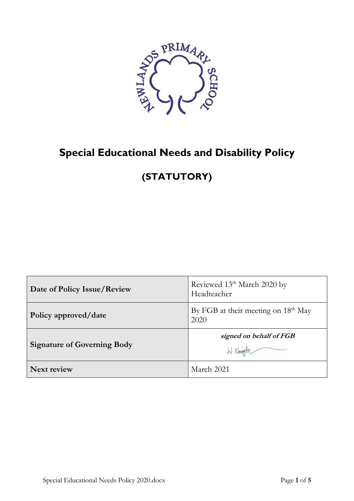

# **Special Educational Needs and Disability Policy**

# **(STATUTORY)**

| Date of Policy Issue/Review        | Reviewed 13 <sup>th</sup> March 2020 by<br>Headteacher |
|------------------------------------|--------------------------------------------------------|
| Policy approved/date               | By FGB at their meeting on $18th$ May<br>2020          |
| <b>Signature of Governing Body</b> | signed on behalf of FGB<br>W Neigh                     |
| <b>Next review</b>                 | March 2021                                             |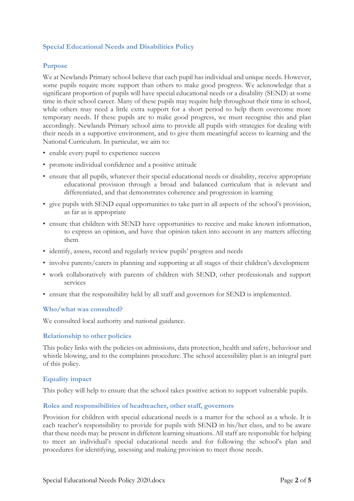## **Special Educational Needs and Disabilities Policy**

## **Purpose**

We at Newlands Primary school believe that each pupil has individual and unique needs. However, some pupils require more support than others to make good progress. We acknowledge that a significant proportion of pupils will have special educational needs or a disability (SEND) at some time in their school career. Many of these pupils may require help throughout their time in school, while others may need a little extra support for a short period to help them overcome more temporary needs. If these pupils are to make good progress, we must recognise this and plan accordingly. Newlands Primary school aims to provide all pupils with strategies for dealing with their needs in a supportive environment, and to give them meaningful access to learning and the National Curriculum. In particular, we aim to:

- enable every pupil to experience success
- promote individual confidence and a positive attitude
- ensure that all pupils, whatever their special educational needs or disability, receive appropriate educational provision through a broad and balanced curriculum that is relevant and differentiated, and that demonstrates coherence and progression in learning
- give pupils with SEND equal opportunities to take part in all aspects of the school's provision, as far as is appropriate
- ensure that children with SEND have opportunities to receive and make known information, to express an opinion, and have that opinion taken into account in any matters affecting them
- identify, assess, record and regularly review pupils' progress and needs
- involve parents/carers in planning and supporting at all stages of their children's development
- work collaboratively with parents of children with SEND, other professionals and support services
- ensure that the responsibility held by all staff and governors for SEND is implemented.

## **Who/what was consulted?**

We consulted local authority and national guidance.

## **Relationship to other policies**

This policy links with the policies on admissions, data protection, health and safety, behaviour and whistle blowing, and to the complaints procedure. The school accessibility plan is an integral part of this policy.

## **Equality impact**

This policy will help to ensure that the school takes positive action to support vulnerable pupils.

## **Roles and responsibilities of headteacher, other staff, governors**

Provision for children with special educational needs is a matter for the school as a whole. It is each teacher's responsibility to provide for pupils with SEND in his/her class, and to be aware that these needs may be present in different learning situations. All staff are responsible for helping to meet an individual's special educational needs and for following the school's plan and procedures for identifying, assessing and making provision to meet those needs.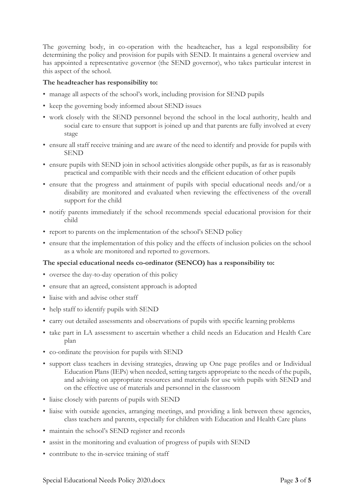The governing body, in co-operation with the headteacher, has a legal responsibility for determining the policy and provision for pupils with SEND. It maintains a general overview and has appointed a representative governor (the SEND governor), who takes particular interest in this aspect of the school.

## **The headteacher has responsibility to:**

- manage all aspects of the school's work, including provision for SEND pupils
- keep the governing body informed about SEND issues
- work closely with the SEND personnel beyond the school in the local authority, health and social care to ensure that support is joined up and that parents are fully involved at every stage
- ensure all staff receive training and are aware of the need to identify and provide for pupils with SEND
- ensure pupils with SEND join in school activities alongside other pupils, as far as is reasonably practical and compatible with their needs and the efficient education of other pupils
- ensure that the progress and attainment of pupils with special educational needs and/or a disability are monitored and evaluated when reviewing the effectiveness of the overall support for the child
- notify parents immediately if the school recommends special educational provision for their child
- report to parents on the implementation of the school's SEND policy
- ensure that the implementation of this policy and the effects of inclusion policies on the school as a whole are monitored and reported to governors.

## **The special educational needs co-ordinator (SENCO) has a responsibility to:**

- oversee the day-to-day operation of this policy
- ensure that an agreed, consistent approach is adopted
- liaise with and advise other staff
- help staff to identify pupils with SEND
- carry out detailed assessments and observations of pupils with specific learning problems
- take part in LA assessment to ascertain whether a child needs an Education and Health Care plan
- co-ordinate the provision for pupils with SEND
- support class teachers in devising strategies, drawing up One page profiles and or Individual Education Plans (IEPs) when needed, setting targets appropriate to the needs of the pupils, and advising on appropriate resources and materials for use with pupils with SEND and on the effective use of materials and personnel in the classroom
- liaise closely with parents of pupils with SEND
- liaise with outside agencies, arranging meetings, and providing a link between these agencies, class teachers and parents, especially for children with Education and Health Care plans
- maintain the school's SEND register and records
- assist in the monitoring and evaluation of progress of pupils with SEND
- contribute to the in-service training of staff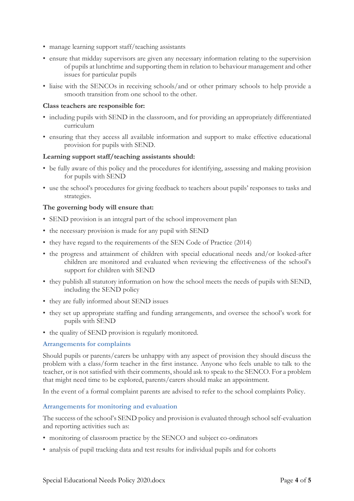- manage learning support staff/teaching assistants
- ensure that midday supervisors are given any necessary information relating to the supervision of pupils at lunchtime and supporting them in relation to behaviour management and other issues for particular pupils
- liaise with the SENCOs in receiving schools/and or other primary schools to help provide a smooth transition from one school to the other.

## **Class teachers are responsible for:**

- including pupils with SEND in the classroom, and for providing an appropriately differentiated curriculum
- ensuring that they access all available information and support to make effective educational provision for pupils with SEND.

## **Learning support staff/teaching assistants should:**

- be fully aware of this policy and the procedures for identifying, assessing and making provision for pupils with SEND
- use the school's procedures for giving feedback to teachers about pupils' responses to tasks and strategies.

## **The governing body will ensure that:**

- SEND provision is an integral part of the school improvement plan
- the necessary provision is made for any pupil with SEND
- they have regard to the requirements of the SEN Code of Practice (2014)
- the progress and attainment of children with special educational needs and/or looked-after children are monitored and evaluated when reviewing the effectiveness of the school's support for children with SEND
- they publish all statutory information on how the school meets the needs of pupils with SEND, including the SEND policy
- they are fully informed about SEND issues
- they set up appropriate staffing and funding arrangements, and oversee the school's work for pupils with SEND
- the quality of SEND provision is regularly monitored.

## **Arrangements for complaints**

Should pupils or parents/carers be unhappy with any aspect of provision they should discuss the problem with a class/form teacher in the first instance. Anyone who feels unable to talk to the teacher, or is not satisfied with their comments, should ask to speak to the SENCO. For a problem that might need time to be explored, parents/carers should make an appointment.

In the event of a formal complaint parents are advised to refer to the school complaints Policy.

## **Arrangements for monitoring and evaluation**

The success of the school's SEND policy and provision is evaluated through school self-evaluation and reporting activities such as:

- monitoring of classroom practice by the SENCO and subject co-ordinators
- analysis of pupil tracking data and test results for individual pupils and for cohorts